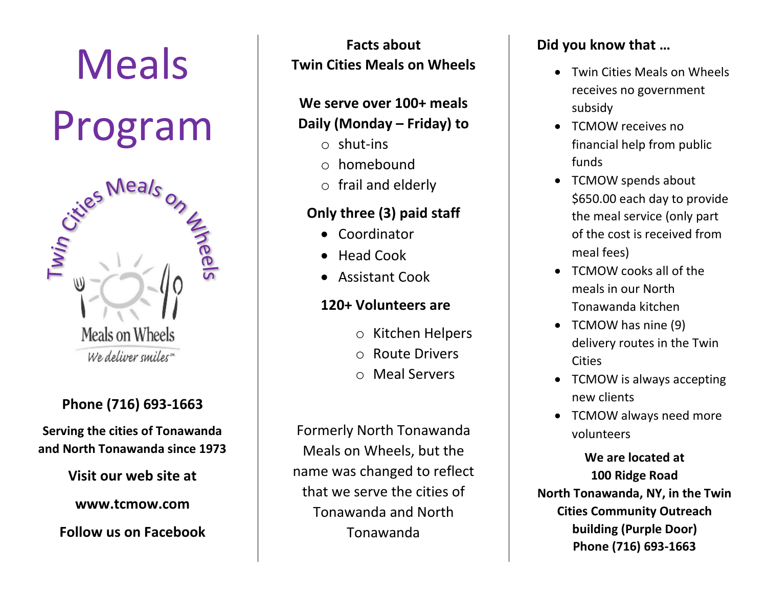

# **Phone (716) 693-1663**

**Serving the cities of Tonawanda and North Tonawanda since 1973**

**Visit our web site at**

**www.tcmow.com**

**Follow us on Facebook**

**Facts about Twin Cities Meals on Wheels**

### **We serve over 100+ meals Daily (Monday – Friday) to**

- $\circ$  shut-ins
- $\circ$  homebound
- $\circ$  frail and elderly

## **Only three (3) paid staff**

- Coordinator
- Head Cook
- Assistant Cook

# **120+ Volunteers are**

- o Kitchen Helpers
- o Route Drivers
- o Meal Servers

Formerly North Tonawanda Meals on Wheels, but the name was changed to reflect that we serve the cities of Tonawanda and North Tonawanda

# **Did you know that …**

- Twin Cities Meals on Wheels receives no government subsidy
- TCMOW receives no financial help from public funds
- TCMOW spends about \$650.00 each day to provide the meal service (only part of the cost is received from meal fees)
- TCMOW cooks all of the meals in our North Tonawanda kitchen
- TCMOW has nine (9) delivery routes in the Twin **Cities**
- TCMOW is always accepting new clients
- TCMOW always need more volunteers

**We are located at 100 Ridge Road North Tonawanda, NY, in the Twin Cities Community Outreach building (Purple Door) Phone (716) 693-1663**